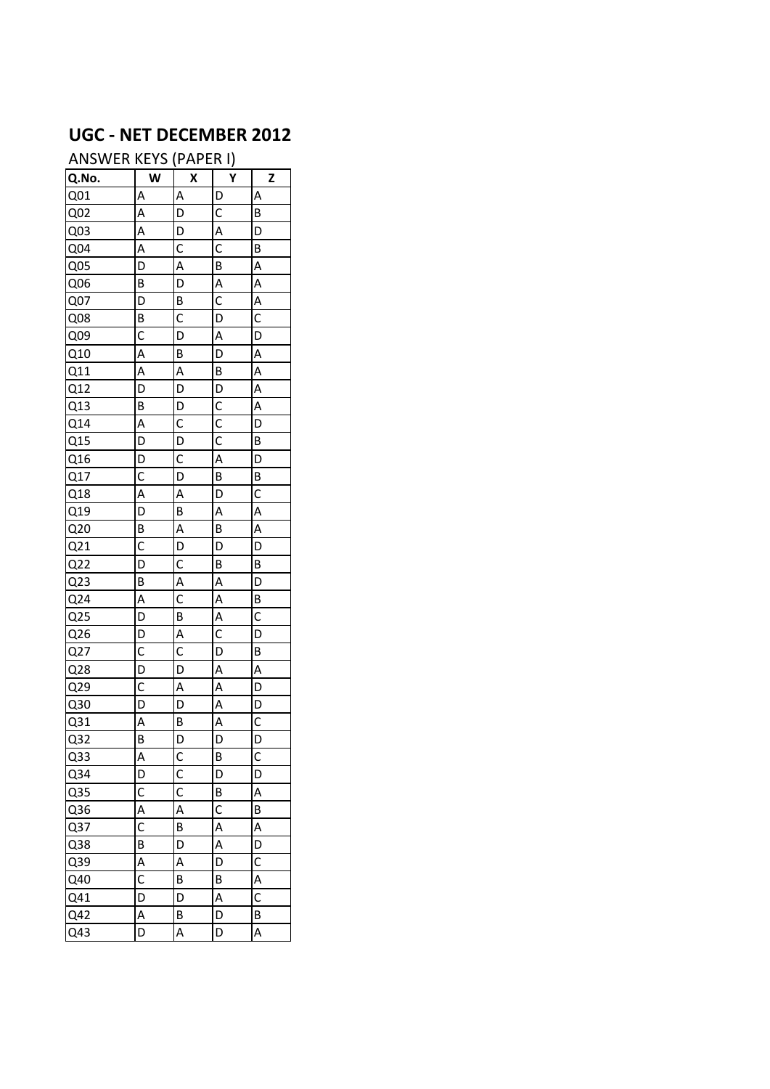## **UGC - NET DECEMBER 2012**

ANSWER KEYS (PAPER I)

|                  |                | <u>v</u>       | <u>.,</u><br>ץ          |                                           |
|------------------|----------------|----------------|-------------------------|-------------------------------------------|
| Q.No.            | W              | Χ              |                         | $\overline{\mathbf{z}}$                   |
| Q <sub>01</sub>  | $\overline{A}$ | $\overline{A}$ | $\overline{D}$          | $\overline{A}$                            |
| Q <sub>02</sub>  | $\overline{A}$ | $\overline{D}$ | $\mathsf{C}$            | B                                         |
| Q <sub>03</sub>  | $\overline{A}$ | $\overline{D}$ | $rac{A}{C}$             | D                                         |
| Q <sub>04</sub>  | $\overline{A}$ | $\overline{c}$ |                         | $\overline{B}$                            |
| Q05              | $\overline{D}$ | $\overline{A}$ | B                       | A<br>A<br>A<br>C                          |
| $\overline{006}$ | B              | $\overline{D}$ | $\overline{A}$          |                                           |
| Q <sub>07</sub>  | D              | $\overline{B}$ | $\overline{c}$          |                                           |
| Q08              | $\overline{B}$ | $\overline{c}$ | $\overline{D}$          |                                           |
| Q09              | $\overline{C}$ | $\overline{D}$ | $\overline{A}$          | $\overline{D}$                            |
| Q10              | $\overline{A}$ | $\mathsf{B}$   | $\overline{D}$          | $\frac{A}{A}$ $\frac{A}{A}$ $\frac{B}{D}$ |
| $\overline{Q11}$ | $\overline{A}$ | $\overline{A}$ | $\overline{B}$          |                                           |
| $\overline{Q12}$ | $\overline{D}$ | $\frac{1}{D}$  | $\frac{D}{C}$           |                                           |
| Q13              | $\overline{B}$ | $\overline{D}$ |                         |                                           |
| Q14              | $\overline{A}$ | $rac{C}{D}$    | $\overline{c}$          |                                           |
| $\overline{Q15}$ | $\overline{D}$ |                | $\overline{c}$          | $\overline{B}$                            |
| $\overline{Q16}$ | $\overline{D}$ | $rac{C}{D}$    | $\overline{A}$          | $\overline{D}$                            |
| Q17              | $\overline{c}$ |                | $\overline{B}$          |                                           |
| $\overline{Q18}$ | $rac{A}{D}$    | $\overline{A}$ | D                       | $\frac{B}{C}$ $\frac{A}{A}$ $\frac{B}{D}$ |
| $\overline{Q19}$ |                | $\overline{B}$ | $\overline{A}$          |                                           |
| Q20              | $\overline{B}$ | $\frac{A}{D}$  | $\frac{1}{P}$           |                                           |
| $\overline{Q21}$ | $\overline{c}$ |                | $\overline{D}$          |                                           |
| $\overline{Q}$   | $\overline{D}$ |                | B                       | $\overline{B}$                            |
| Q <sub>23</sub>  | $\overline{B}$ | $rac{C}{C}$    | $\overline{A}$          | $\overline{D}$                            |
| Q24              | $\overline{A}$ |                | $\overline{A}$          | $rac{B}{C}$                               |
| Q25              | $\overline{D}$ | $\overline{B}$ | $\overline{A}$          |                                           |
| Q <sub>26</sub>  | $\overline{D}$ | $rac{A}{C}$    | $\overline{C}$          | $\overline{D}$                            |
| Q27              | $\overline{C}$ |                | $\overline{D}$          | $\overline{B}$                            |
| $\overline{Q28}$ | $\overline{D}$ | $\overline{D}$ | $\overline{\mathsf{A}}$ | $\frac{A}{D}$                             |
| $\overline{Q29}$ | $\overline{C}$ | $\overline{A}$ | $\overline{A}$          |                                           |
| Q <sub>30</sub>  | D              | $\overline{D}$ | $\overline{A}$          | $\overline{D}$                            |
| Q <sub>31</sub>  | $\overline{A}$ | $\overline{B}$ | $\overline{A}$          | $\overline{C}$                            |
| Q <sub>32</sub>  | $\overline{B}$ | $\overline{D}$ | $\overline{D}$          | $\overline{D}$                            |
| Q <sub>33</sub>  | A              | C              | B                       | C                                         |
| Q34              | D              | $\mathsf{C}$   | D                       | D                                         |
| Q35              | $\mathsf{C}$   | C              | B                       | A                                         |
| Q36              | A              | A              | $\mathsf{C}$            | В                                         |
| Q37              | C              | B              | A                       | $\overline{A}$                            |
| Q38              | B              | D              | A                       | D                                         |
| Q39              | $\overline{A}$ | A              | D                       | $\overline{c}$                            |
| $Q\overline{40}$ | $\overline{c}$ | В              | B                       |                                           |
| Q41              | D              | D              | A                       | $rac{A}{C}$                               |
| Q42              | A              | B              | $\overline{D}$          | B                                         |
| Q43              | D              | A              | D                       | A                                         |